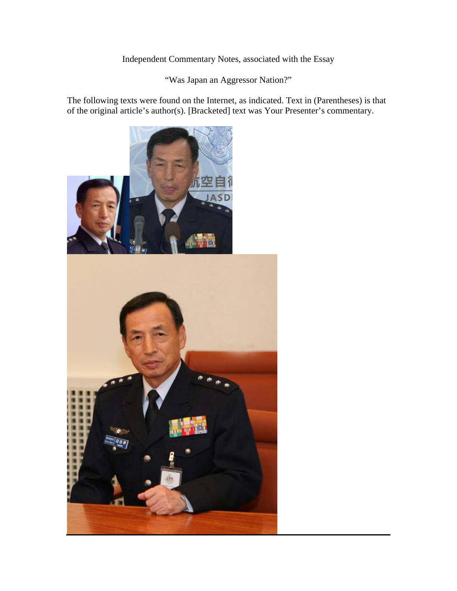# Independent Commentary Notes, associated with the Essay

"Was Japan an Aggressor Nation?"

The following texts were found on the Internet, as indicated. Text in (Parentheses) is that of the original article's author(s). [Bracketed] text was Your Presenter's commentary.

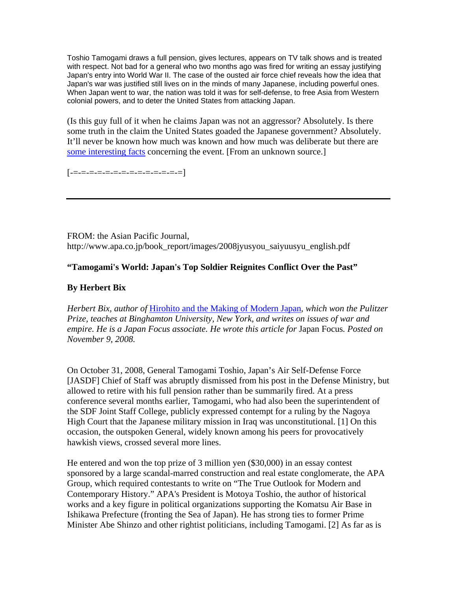Toshio Tamogami draws a full pension, gives lectures, appears on TV talk shows and is treated with respect. Not bad for a general who two months ago was fired for writing an essay justifying Japan's entry into World War II. The case of the ousted air force chief reveals how the idea that Japan's war was justified still lives on in the minds of many Japanese, including powerful ones. When Japan went to war, the nation was told it was for self-defense, to free Asia from Western colonial powers, and to deter the United States from attacking Japan.

(Is this guy full of it when he claims Japan was not an aggressor? Absolutely. Is there some truth in the claim the United States goaded the Japanese government? Absolutely. It'll never be known how much was known and how much was deliberate but there are some interesting facts concerning the event. [From an unknown source.]

[-=-=-=-=-=-=-=-=-=-=-=-=-=-=]

FROM: the Asian Pacific Journal, http://www.apa.co.jp/book\_report/images/2008jyusyou\_saiyuusyu\_english.pdf

## **"Tamogami's World: Japan's Top Soldier Reignites Conflict Over the Past"**

## **By Herbert Bix**

*Herbert Bix, author of* Hirohito and the Making of Modern Japan*, which won the Pulitzer Prize, teaches at Binghamton University, New York, and writes on issues of war and empire. He is a Japan Focus associate. He wrote this article for* Japan Focus*. Posted on November 9, 2008.*

On October 31, 2008, General Tamogami Toshio, Japan's Air Self-Defense Force [JASDF] Chief of Staff was abruptly dismissed from his post in the Defense Ministry, but allowed to retire with his full pension rather than be summarily fired. At a press conference several months earlier, Tamogami, who had also been the superintendent of the SDF Joint Staff College, publicly expressed contempt for a ruling by the Nagoya High Court that the Japanese military mission in Iraq was unconstitutional. [1] On this occasion, the outspoken General, widely known among his peers for provocatively hawkish views, crossed several more lines.

He entered and won the top prize of 3 million yen (\$30,000) in an essay contest sponsored by a large scandal-marred construction and real estate conglomerate, the APA Group, which required contestants to write on "The True Outlook for Modern and Contemporary History." APA's President is Motoya Toshio, the author of historical works and a key figure in political organizations supporting the Komatsu Air Base in Ishikawa Prefecture (fronting the Sea of Japan). He has strong ties to former Prime Minister Abe Shinzo and other rightist politicians, including Tamogami. [2] As far as is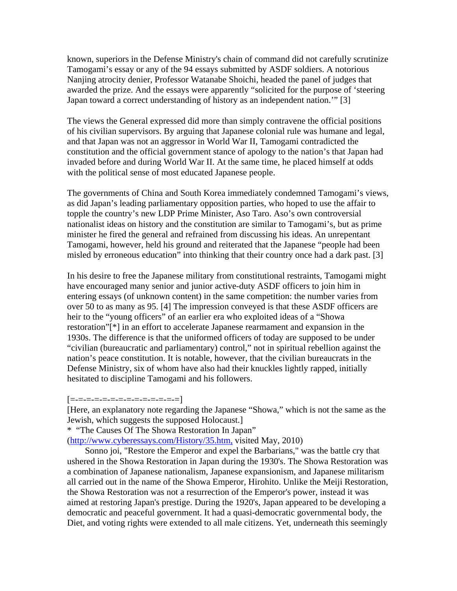known, superiors in the Defense Ministry's chain of command did not carefully scrutinize Tamogami's essay or any of the 94 essays submitted by ASDF soldiers. A notorious Nanjing atrocity denier, Professor Watanabe Shoichi, headed the panel of judges that awarded the prize. And the essays were apparently "solicited for the purpose of 'steering Japan toward a correct understanding of history as an independent nation.'" [3]

The views the General expressed did more than simply contravene the official positions of his civilian supervisors. By arguing that Japanese colonial rule was humane and legal, and that Japan was not an aggressor in World War II, Tamogami contradicted the constitution and the official government stance of apology to the nation's that Japan had invaded before and during World War II. At the same time, he placed himself at odds with the political sense of most educated Japanese people.

The governments of China and South Korea immediately condemned Tamogami's views, as did Japan's leading parliamentary opposition parties, who hoped to use the affair to topple the country's new LDP Prime Minister, Aso Taro. Aso's own controversial nationalist ideas on history and the constitution are similar to Tamogami's, but as prime minister he fired the general and refrained from discussing his ideas. An unrepentant Tamogami, however, held his ground and reiterated that the Japanese "people had been misled by erroneous education" into thinking that their country once had a dark past. [3]

In his desire to free the Japanese military from constitutional restraints, Tamogami might have encouraged many senior and junior active-duty ASDF officers to join him in entering essays (of unknown content) in the same competition: the number varies from over 50 to as many as 95. [4] The impression conveyed is that these ASDF officers are heir to the "young officers" of an earlier era who exploited ideas of a "Showa restoration"[\*] in an effort to accelerate Japanese rearmament and expansion in the 1930s. The difference is that the uniformed officers of today are supposed to be under "civilian (bureaucratic and parliamentary) control," not in spiritual rebellion against the nation's peace constitution. It is notable, however, that the civilian bureaucrats in the Defense Ministry, six of whom have also had their knuckles lightly rapped, initially hesitated to discipline Tamogami and his followers.

#### $[{\scriptstyle \pm{\scriptstyle -} \pm{\scriptstyle -} \pm{\scriptstyle -} \pm{\scriptstyle -} \pm{\scriptstyle -} \pm{\scriptstyle -} \pm{\scriptstyle -} \pm{\scriptstyle -} \pm{\scriptstyle -} \pm{\scriptstyle -} \pm{\scriptstyle -} \pm{\scriptstyle -} \pm{\scriptstyle -} \pm{\scriptstyle -} \pm{\scriptstyle -} \pm{\scriptstyle -} \pm{\scriptstyle -} \pm{\scriptstyle -} \pm{\scriptstyle -} \pm{\scriptstyle -} \pm{\scriptstyle -} \pm{\scriptstyle -} \pm{\scriptstyle -} \pm{\scriptstyle -} \pm{\scriptstyle -} \pm{\scriptstyle -} \pm{\scriptstyle -} \pm{\scriptstyle -} \pm{\scriptstyle -} \pm{\scriptstyle -} \pm{\scriptstyle -$

[Here, an explanatory note regarding the Japanese "Showa," which is not the same as the Jewish, which suggests the supposed Holocaust.]

\* "The Causes Of The Showa Restoration In Japan"

(http://www.cyberessays.com/History/35.htm, visited May, 2010)

 Sonno joi, "Restore the Emperor and expel the Barbarians," was the battle cry that ushered in the Showa Restoration in Japan during the 1930's. The Showa Restoration was a combination of Japanese nationalism, Japanese expansionism, and Japanese militarism all carried out in the name of the Showa Emperor, Hirohito. Unlike the Meiji Restoration, the Showa Restoration was not a resurrection of the Emperor's power, instead it was aimed at restoring Japan's prestige. During the 1920's, Japan appeared to be developing a democratic and peaceful government. It had a quasi-democratic governmental body, the Diet, and voting rights were extended to all male citizens. Yet, underneath this seemingly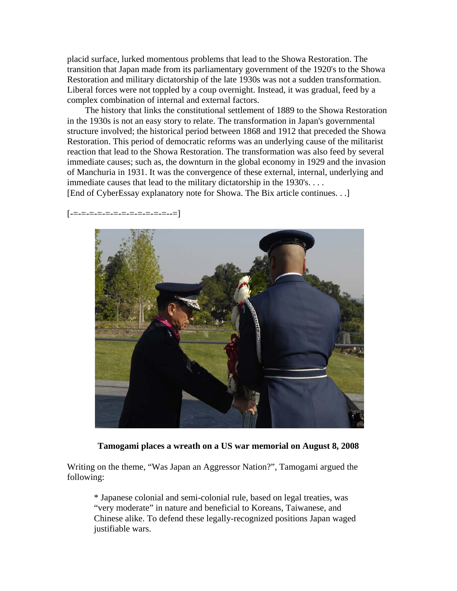placid surface, lurked momentous problems that lead to the Showa Restoration. The transition that Japan made from its parliamentary government of the 1920's to the Showa Restoration and military dictatorship of the late 1930s was not a sudden transformation. Liberal forces were not toppled by a coup overnight. Instead, it was gradual, feed by a complex combination of internal and external factors.

 The history that links the constitutional settlement of 1889 to the Showa Restoration in the 1930s is not an easy story to relate. The transformation in Japan's governmental structure involved; the historical period between 1868 and 1912 that preceded the Showa Restoration. This period of democratic reforms was an underlying cause of the militarist reaction that lead to the Showa Restoration. The transformation was also feed by several immediate causes; such as, the downturn in the global economy in 1929 and the invasion of Manchuria in 1931. It was the convergence of these external, internal, underlying and immediate causes that lead to the military dictatorship in the 1930's. . . .

[End of CyberEssay explanatory note for Showa. The Bix article continues. . .]

 $[-\pm,-\pm,\pm,\pm,\pm,\pm,\pm,\pm,\pm,\pm,\pm,\pm]$  .



**Tamogami places a wreath on a US war memorial on August 8, 2008**

Writing on the theme, "Was Japan an Aggressor Nation?", Tamogami argued the following:

\* Japanese colonial and semi-colonial rule, based on legal treaties, was "very moderate" in nature and beneficial to Koreans, Taiwanese, and Chinese alike. To defend these legally-recognized positions Japan waged justifiable wars.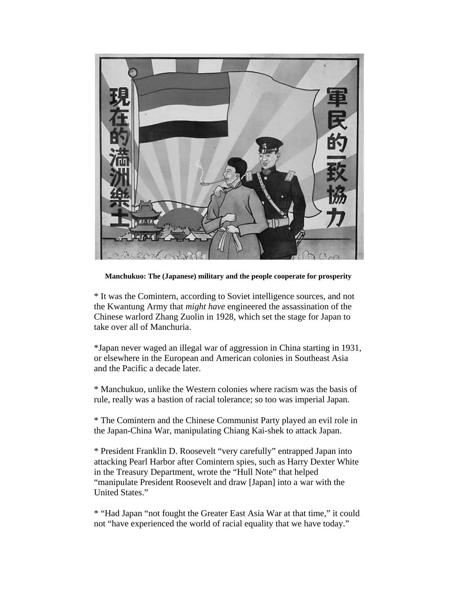

**Manchukuo: The (Japanese) military and the people cooperate for prosperity**

\* It was the Comintern, according to Soviet intelligence sources, and not the Kwantung Army that *might have* engineered the assassination of the Chinese warlord Zhang Zuolin in 1928, which set the stage for Japan to take over all of Manchuria.

\*Japan never waged an illegal war of aggression in China starting in 1931, or elsewhere in the European and American colonies in Southeast Asia and the Pacific a decade later.

\* Manchukuo, unlike the Western colonies where racism was the basis of rule, really was a bastion of racial tolerance; so too was imperial Japan.

\* The Comintern and the Chinese Communist Party played an evil role in the Japan-China War, manipulating Chiang Kai-shek to attack Japan.

\* President Franklin D. Roosevelt "very carefully" entrapped Japan into attacking Pearl Harbor after Comintern spies, such as Harry Dexter White in the Treasury Department, wrote the "Hull Note" that helped "manipulate President Roosevelt and draw [Japan] into a war with the United States."

\* "Had Japan "not fought the Greater East Asia War at that time," it could not "have experienced the world of racial equality that we have today."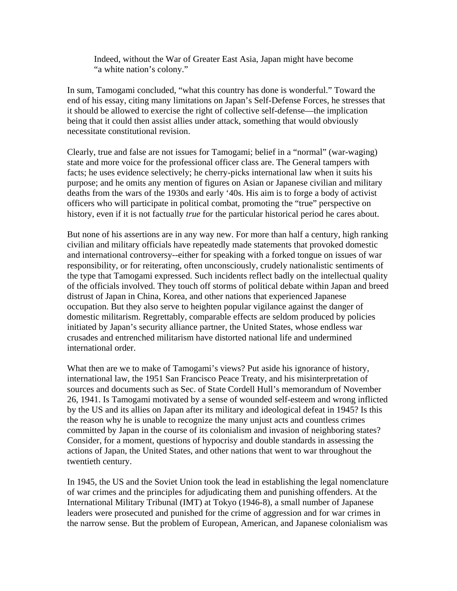Indeed, without the War of Greater East Asia, Japan might have become "a white nation's colony."

In sum, Tamogami concluded, "what this country has done is wonderful." Toward the end of his essay, citing many limitations on Japan's Self-Defense Forces, he stresses that it should be allowed to exercise the right of collective self-defense—the implication being that it could then assist allies under attack, something that would obviously necessitate constitutional revision.

Clearly, true and false are not issues for Tamogami; belief in a "normal" (war-waging) state and more voice for the professional officer class are. The General tampers with facts; he uses evidence selectively; he cherry-picks international law when it suits his purpose; and he omits any mention of figures on Asian or Japanese civilian and military deaths from the wars of the 1930s and early '40s. His aim is to forge a body of activist officers who will participate in political combat, promoting the "true" perspective on history, even if it is not factually *true* for the particular historical period he cares about.

But none of his assertions are in any way new. For more than half a century, high ranking civilian and military officials have repeatedly made statements that provoked domestic and international controversy--either for speaking with a forked tongue on issues of war responsibility, or for reiterating, often unconsciously, crudely nationalistic sentiments of the type that Tamogami expressed. Such incidents reflect badly on the intellectual quality of the officials involved. They touch off storms of political debate within Japan and breed distrust of Japan in China, Korea, and other nations that experienced Japanese occupation. But they also serve to heighten popular vigilance against the danger of domestic militarism. Regrettably, comparable effects are seldom produced by policies initiated by Japan's security alliance partner, the United States, whose endless war crusades and entrenched militarism have distorted national life and undermined international order.

What then are we to make of Tamogami's views? Put aside his ignorance of history, international law, the 1951 San Francisco Peace Treaty, and his misinterpretation of sources and documents such as Sec. of State Cordell Hull's memorandum of November 26, 1941. Is Tamogami motivated by a sense of wounded self-esteem and wrong inflicted by the US and its allies on Japan after its military and ideological defeat in 1945? Is this the reason why he is unable to recognize the many unjust acts and countless crimes committed by Japan in the course of its colonialism and invasion of neighboring states? Consider, for a moment, questions of hypocrisy and double standards in assessing the actions of Japan, the United States, and other nations that went to war throughout the twentieth century.

In 1945, the US and the Soviet Union took the lead in establishing the legal nomenclature of war crimes and the principles for adjudicating them and punishing offenders. At the International Military Tribunal (IMT) at Tokyo (1946-8), a small number of Japanese leaders were prosecuted and punished for the crime of aggression and for war crimes in the narrow sense. But the problem of European, American, and Japanese colonialism was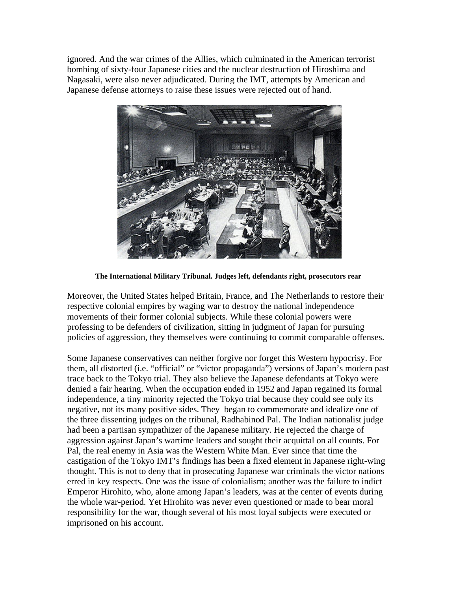ignored. And the war crimes of the Allies, which culminated in the American terrorist bombing of sixty-four Japanese cities and the nuclear destruction of Hiroshima and Nagasaki, were also never adjudicated. During the IMT, attempts by American and Japanese defense attorneys to raise these issues were rejected out of hand.



**The International Military Tribunal. Judges left, defendants right, prosecutors rear**

Moreover, the United States helped Britain, France, and The Netherlands to restore their respective colonial empires by waging war to destroy the national independence movements of their former colonial subjects. While these colonial powers were professing to be defenders of civilization, sitting in judgment of Japan for pursuing policies of aggression, they themselves were continuing to commit comparable offenses.

Some Japanese conservatives can neither forgive nor forget this Western hypocrisy. For them, all distorted (i.e. "official" or "victor propaganda") versions of Japan's modern past trace back to the Tokyo trial. They also believe the Japanese defendants at Tokyo were denied a fair hearing. When the occupation ended in 1952 and Japan regained its formal independence, a tiny minority rejected the Tokyo trial because they could see only its negative, not its many positive sides. They began to commemorate and idealize one of the three dissenting judges on the tribunal, Radhabinod Pal. The Indian nationalist judge had been a partisan sympathizer of the Japanese military. He rejected the charge of aggression against Japan's wartime leaders and sought their acquittal on all counts. For Pal, the real enemy in Asia was the Western White Man. Ever since that time the castigation of the Tokyo IMT's findings has been a fixed element in Japanese right-wing thought. This is not to deny that in prosecuting Japanese war criminals the victor nations erred in key respects. One was the issue of colonialism; another was the failure to indict Emperor Hirohito, who, alone among Japan's leaders, was at the center of events during the whole war-period. Yet Hirohito was never even questioned or made to bear moral responsibility for the war, though several of his most loyal subjects were executed or imprisoned on his account.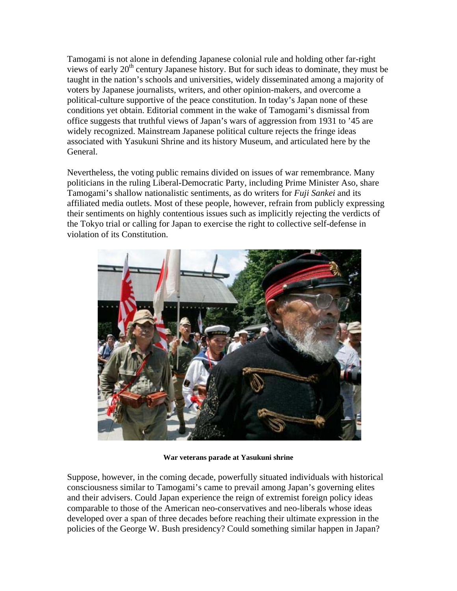Tamogami is not alone in defending Japanese colonial rule and holding other far-right views of early 20<sup>th</sup> century Japanese history. But for such ideas to dominate, they must be taught in the nation's schools and universities, widely disseminated among a majority of voters by Japanese journalists, writers, and other opinion-makers, and overcome a political-culture supportive of the peace constitution. In today's Japan none of these conditions yet obtain. Editorial comment in the wake of Tamogami's dismissal from office suggests that truthful views of Japan's wars of aggression from 1931 to '45 are widely recognized. Mainstream Japanese political culture rejects the fringe ideas associated with Yasukuni Shrine and its history Museum, and articulated here by the General.

Nevertheless, the voting public remains divided on issues of war remembrance. Many politicians in the ruling Liberal-Democratic Party, including Prime Minister Aso, share Tamogami's shallow nationalistic sentiments, as do writers for *Fuji Sankei* and its affiliated media outlets. Most of these people, however, refrain from publicly expressing their sentiments on highly contentious issues such as implicitly rejecting the verdicts of the Tokyo trial or calling for Japan to exercise the right to collective self-defense in violation of its Constitution.



**War veterans parade at Yasukuni shrine**

Suppose, however, in the coming decade, powerfully situated individuals with historical consciousness similar to Tamogami's came to prevail among Japan's governing elites and their advisers. Could Japan experience the reign of extremist foreign policy ideas comparable to those of the American neo-conservatives and neo-liberals whose ideas developed over a span of three decades before reaching their ultimate expression in the policies of the George W. Bush presidency? Could something similar happen in Japan?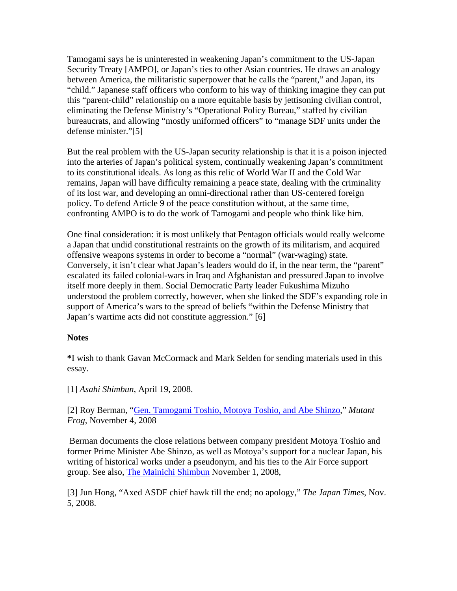Tamogami says he is uninterested in weakening Japan's commitment to the US-Japan Security Treaty [AMPO], or Japan's ties to other Asian countries. He draws an analogy between America, the militaristic superpower that he calls the "parent," and Japan, its "child." Japanese staff officers who conform to his way of thinking imagine they can put this "parent-child" relationship on a more equitable basis by jettisoning civilian control, eliminating the Defense Ministry's "Operational Policy Bureau," staffed by civilian bureaucrats, and allowing "mostly uniformed officers" to "manage SDF units under the defense minister."[5]

But the real problem with the US-Japan security relationship is that it is a poison injected into the arteries of Japan's political system, continually weakening Japan's commitment to its constitutional ideals. As long as this relic of World War II and the Cold War remains, Japan will have difficulty remaining a peace state, dealing with the criminality of its lost war, and developing an omni-directional rather than US-centered foreign policy. To defend Article 9 of the peace constitution without, at the same time, confronting AMPO is to do the work of Tamogami and people who think like him.

One final consideration: it is most unlikely that Pentagon officials would really welcome a Japan that undid constitutional restraints on the growth of its militarism, and acquired offensive weapons systems in order to become a "normal" (war-waging) state. Conversely, it isn't clear what Japan's leaders would do if, in the near term, the "parent" escalated its failed colonial-wars in Iraq and Afghanistan and pressured Japan to involve itself more deeply in them. Social Democratic Party leader Fukushima Mizuho understood the problem correctly, however, when she linked the SDF's expanding role in support of America's wars to the spread of beliefs "within the Defense Ministry that Japan's wartime acts did not constitute aggression." [6]

#### **Notes**

**\***I wish to thank Gavan McCormack and Mark Selden for sending materials used in this essay.

[1] *Asahi Shimbun*, April 19, 2008.

[2] Roy Berman, "Gen. Tamogami Toshio, Motoya Toshio, and Abe Shinzo," *Mutant Frog*, November 4, 2008

 Berman documents the close relations between company president Motoya Toshio and former Prime Minister Abe Shinzo, as well as Motoya's support for a nuclear Japan, his writing of historical works under a pseudonym, and his ties to the Air Force support group. See also, The Mainichi Shimbun November 1, 2008,

[3] Jun Hong, "Axed ASDF chief hawk till the end; no apology," *The Japan Times*, Nov. 5, 2008.